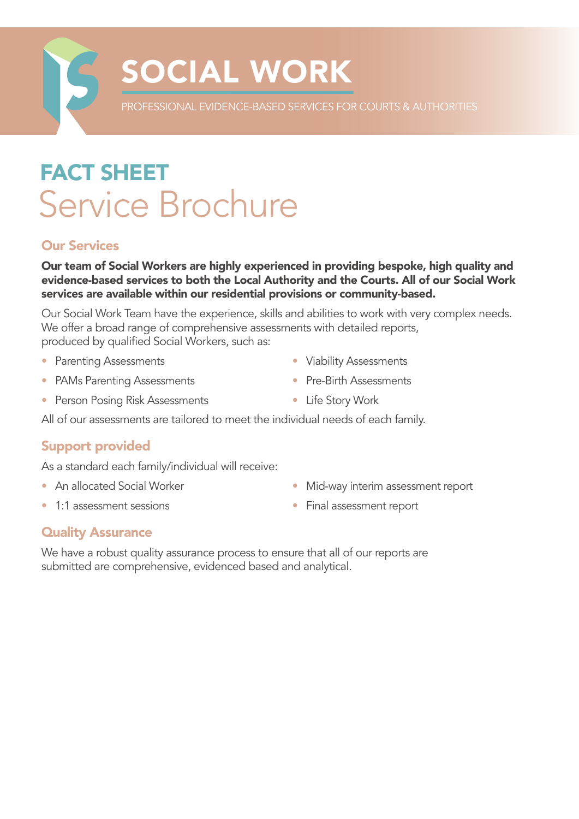

# SOCIAL WORK

PROFESSIONAL EVIDENCE-BASED SERVICES FOR COURTS & AUTHORITIES

## FACT SHEET Service Brochure

#### Our Services

Our team of Social Workers are highly experienced in providing bespoke, high quality and evidence-based services to both the Local Authority and the Courts. All of our Social Work services are available within our residential provisions or community-based.

Our Social Work Team have the experience, skills and abilities to work with very complex needs. We offer a broad range of comprehensive assessments with detailed reports, produced by qualified Social Workers, such as:

- Parenting Assessments
- PAMs Parenting Assessments
- Person Posing Risk Assessments
- Viability Assessments
- Pre-Birth Assessments
- Life Story Work

All of our assessments are tailored to meet the individual needs of each family.

### Support provided

As a standard each family/individual will receive:

• An allocated Social Worker

• Mid-way interim assessment report

• 1:1 assessment sessions

• Final assessment report

#### Quality Assurance

We have a robust quality assurance process to ensure that all of our reports are submitted are comprehensive, evidenced based and analytical.